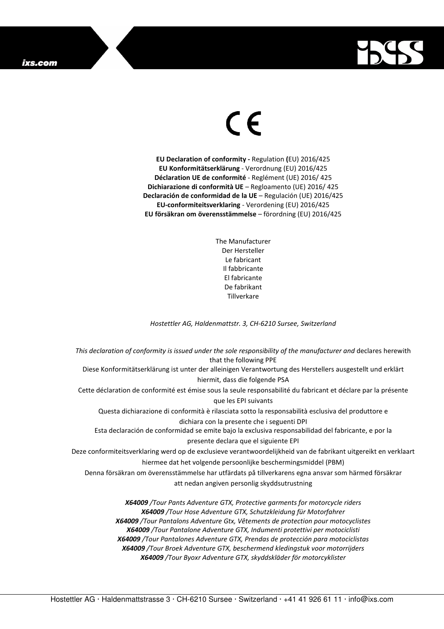## ixs.com



## $\in$

**EU Declaration of conformity -** Regulation **(**EU) 2016/425 **EU Konformitätserklärung** - Verordnung (EU) 2016/425 **Déclaration UE de conformité** - Reglément (UE) 2016/ 425 **Dichiarazione di conformità UE** – Regloamento (UE) 2016/ 425 **Declaración de conformidad de la UE** – Regulación (UE) 2016/425 **EU-conformiteitsverklaring** - Verordening (EU) 2016/425 **EU försäkran om överensstämmelse** – förordning (EU) 2016/425

> The Manufacturer Der Hersteller Le fabricant Il fabbricante El fabricante De fabrikant **Tillverkare**

*Hostettler AG, Haldenmattstr. 3, CH-6210 Sursee, Switzerland* 

*This declaration of conformity is issued under the sole responsibility of the manufacturer and* declares herewith that the following PPE Diese Konformitätserklärung ist unter der alleinigen Verantwortung des Herstellers ausgestellt und erklärt hiermit, dass die folgende PSA Cette déclaration de conformité est émise sous la seule responsabilité du fabricant et déclare par la présente que les EPI suivants Questa dichiarazione di conformità è rilasciata sotto la responsabilità esclusiva del produttore e dichiara con la presente che i seguenti DPI Esta declaración de conformidad se emite bajo la exclusiva responsabilidad del fabricante, e por la presente declara que el siguiente EPI Deze conformiteitsverklaring werd op de exclusieve verantwoordelijkheid van de fabrikant uitgereikt en verklaart hiermee dat het volgende persoonlijke beschermingsmiddel (PBM) Denna försäkran om överensstämmelse har utfärdats på tillverkarens egna ansvar som härmed försäkrar att nedan angiven personlig skyddsutrustning *X64009 /Tour Pants Adventure GTX, Protective garments for motorcycle riders X64009 /Tour Hose Adventure GTX, Schutzkleidung für Motorfahrer X64009 /Tour Pantalons Adventure Gtx, Vêtements de protection pour motocyclistes* 

*X64009 /Tour Pantalone Adventure GTX, Indumenti protettivi per motociclisti X64009 /Tour Pantalones Adventure GTX, Prendas de protección para motociclistas X64009 /Tour Broek Adventure GTX, beschermend kledingstuk voor motorrijders X64009 /Tour Byoxr Adventure GTX, skyddskläder för motorcyklister*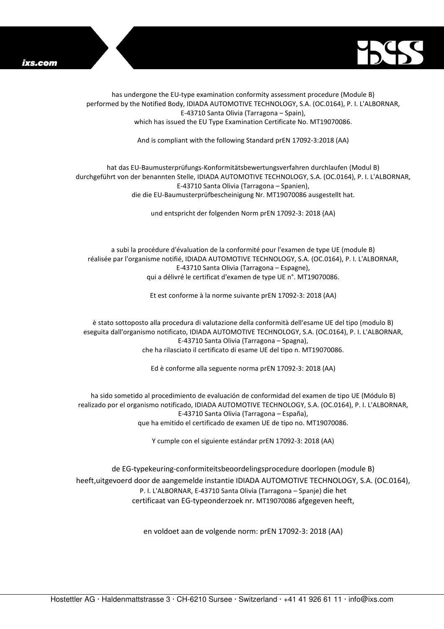



has undergone the EU-type examination conformity assessment procedure (Module B) performed by the Notified Body, IDIADA AUTOMOTIVE TECHNOLOGY, S.A. (OC.0164), P. I. L'ALBORNAR, E-43710 Santa Olivia (Tarragona – Spain), which has issued the EU Type Examination Certificate No. MT19070086.

And is compliant with the following Standard prEN 17092-3:2018 (AA)

## hat das EU-Baumusterprüfungs-Konformitätsbewertungsverfahren durchlaufen (Modul B) durchgeführt von der benannten Stelle, IDIADA AUTOMOTIVE TECHNOLOGY, S.A. (OC.0164), P. I. L'ALBORNAR, E-43710 Santa Olivia (Tarragona – Spanien), die die EU-Baumusterprüfbescheinigung Nr. MT19070086 ausgestellt hat.

und entspricht der folgenden Norm prEN 17092-3: 2018 (AA)

a subi la procédure d'évaluation de la conformité pour l'examen de type UE (module B) réalisée par l'organisme notifié, IDIADA AUTOMOTIVE TECHNOLOGY, S.A. (OC.0164), P. I. L'ALBORNAR, E-43710 Santa Olivia (Tarragona – Espagne), qui a délivré le certificat d'examen de type UE n°. MT19070086.

Et est conforme à la norme suivante prEN 17092-3: 2018 (AA)

è stato sottoposto alla procedura di valutazione della conformità dell'esame UE del tipo (modulo B) eseguita dall'organismo notificato, IDIADA AUTOMOTIVE TECHNOLOGY, S.A. (OC.0164), P. I. L'ALBORNAR, E-43710 Santa Olivia (Tarragona – Spagna), che ha rilasciato il certificato di esame UE del tipo n. MT19070086.

Ed è conforme alla seguente norma prEN 17092-3: 2018 (AA)

ha sido sometido al procedimiento de evaluación de conformidad del examen de tipo UE (Módulo B) realizado por el organismo notificado, IDIADA AUTOMOTIVE TECHNOLOGY, S.A. (OC.0164), P. I. L'ALBORNAR, E-43710 Santa Olivia (Tarragona – España), que ha emitido el certificado de examen UE de tipo no. MT19070086.

Y cumple con el siguiente estándar prEN 17092-3: 2018 (AA)

de EG-typekeuring-conformiteitsbeoordelingsprocedure doorlopen (module B) heeft,uitgevoerd door de aangemelde instantie IDIADA AUTOMOTIVE TECHNOLOGY, S.A. (OC.0164), P. I. L'ALBORNAR, E-43710 Santa Olivia (Tarragona – Spanje) die het certificaat van EG-typeonderzoek nr. MT19070086 afgegeven heeft,

en voldoet aan de volgende norm: prEN 17092-3: 2018 (AA)